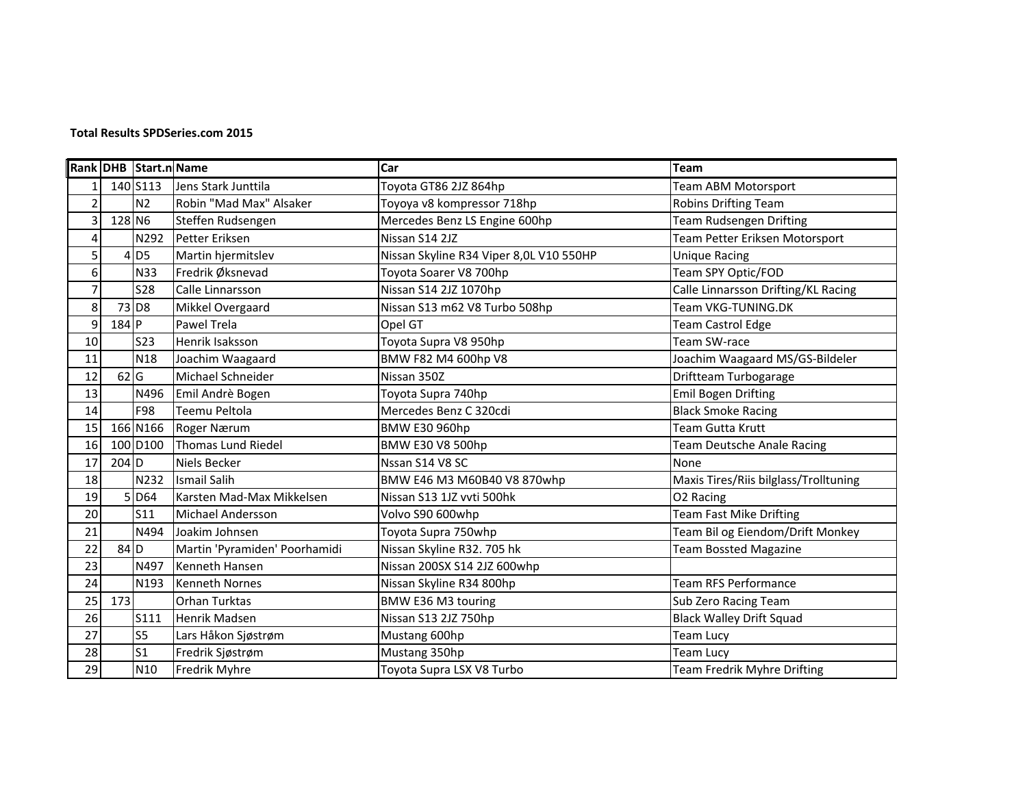## **Total Results SPDSeries.com 2015**

|                |         | Rank DHB Start.n Name |                               | Car                                     | <b>Team</b>                           |
|----------------|---------|-----------------------|-------------------------------|-----------------------------------------|---------------------------------------|
| 1              |         | 140 S113              | Lens Stark Junttila           | Toyota GT86 2JZ 864hp                   | Team ABM Motorsport                   |
| $\overline{2}$ |         | N <sub>2</sub>        | Robin "Mad Max" Alsaker       | Toyoya v8 kompressor 718hp              | <b>Robins Drifting Team</b>           |
| 3              | 128 N6  |                       | Steffen Rudsengen             | Mercedes Benz LS Engine 600hp           | <b>Team Rudsengen Drifting</b>        |
| 4              |         | N292                  | Petter Eriksen                | Nissan S14 2JZ                          | Team Petter Eriksen Motorsport        |
| 5              |         | $4$ D <sub>5</sub>    | Martin hjermitslev            | Nissan Skyline R34 Viper 8,0L V10 550HP | <b>Unique Racing</b>                  |
| 6              |         | <b>N33</b>            | Fredrik Øksnevad              | Toyota Soarer V8 700hp                  | Team SPY Optic/FOD                    |
| $\overline{7}$ |         | <b>S28</b>            | Calle Linnarsson              | Nissan S14 2JZ 1070hp                   | Calle Linnarsson Drifting/KL Racing   |
| 8              |         | 73 D <sub>8</sub>     | Mikkel Overgaard              | Nissan S13 m62 V8 Turbo 508hp           | Team VKG-TUNING.DK                    |
| 9              | 184 P   |                       | Pawel Trela                   | Opel GT                                 | Team Castrol Edge                     |
| 10             |         | <b>S23</b>            | Henrik Isaksson               | Toyota Supra V8 950hp                   | Team SW-race                          |
| 11             |         | <b>N18</b>            | Joachim Waagaard              | BMW F82 M4 600hp V8                     | Joachim Waagaard MS/GS-Bildeler       |
| 12             | 62 G    |                       | Michael Schneider             | Nissan 350Z                             | Driftteam Turbogarage                 |
| 13             |         | N496                  | Emil Andrè Bogen              | Toyota Supra 740hp                      | <b>Emil Bogen Drifting</b>            |
| 14             |         | F98                   | Teemu Peltola                 | Mercedes Benz C 320cdi                  | <b>Black Smoke Racing</b>             |
| 15             |         | 166 N166              | Roger Nærum                   | <b>BMW E30 960hp</b>                    | Team Gutta Krutt                      |
| 16             |         | 100 D100              | Thomas Lund Riedel            | BMW E30 V8 500hp                        | Team Deutsche Anale Racing            |
| 17             | $204$ D |                       | Niels Becker                  | Nssan S14 V8 SC                         | None                                  |
| 18             |         | N232                  | <b>Ismail Salih</b>           | BMW E46 M3 M60B40 V8 870whp             | Maxis Tires/Riis bilglass/Trolltuning |
| 19             |         | 5 D64                 | Karsten Mad-Max Mikkelsen     | Nissan S13 1JZ vvti 500hk               | O <sub>2</sub> Racing                 |
| 20             |         | S11                   | <b>Michael Andersson</b>      | Volvo S90 600whp                        | <b>Team Fast Mike Drifting</b>        |
| 21             |         | N494                  | Joakim Johnsen                | Toyota Supra 750whp                     | Team Bil og Eiendom/Drift Monkey      |
| 22             | $84$ D  |                       | Martin 'Pyramiden' Poorhamidi | Nissan Skyline R32. 705 hk              | <b>Team Bossted Magazine</b>          |
| 23             |         | N497                  | Kenneth Hansen                | Nissan 200SX S14 2JZ 600whp             |                                       |
| 24             |         | N193                  | <b>Kenneth Nornes</b>         | Nissan Skyline R34 800hp                | Team RFS Performance                  |
| 25             | 173     |                       | Orhan Turktas                 | BMW E36 M3 touring                      | Sub Zero Racing Team                  |
| 26             |         | S111                  | Henrik Madsen                 | Nissan S13 2JZ 750hp                    | <b>Black Walley Drift Squad</b>       |
| 27             |         | S <sub>5</sub>        | Lars Håkon Sjøstrøm           | Mustang 600hp                           | Team Lucy                             |
| 28             |         | $\mathsf{S}1$         | Fredrik Sjøstrøm              | Mustang 350hp                           | Team Lucy                             |
| 29             |         | N10                   | Fredrik Myhre                 | Toyota Supra LSX V8 Turbo               | Team Fredrik Myhre Drifting           |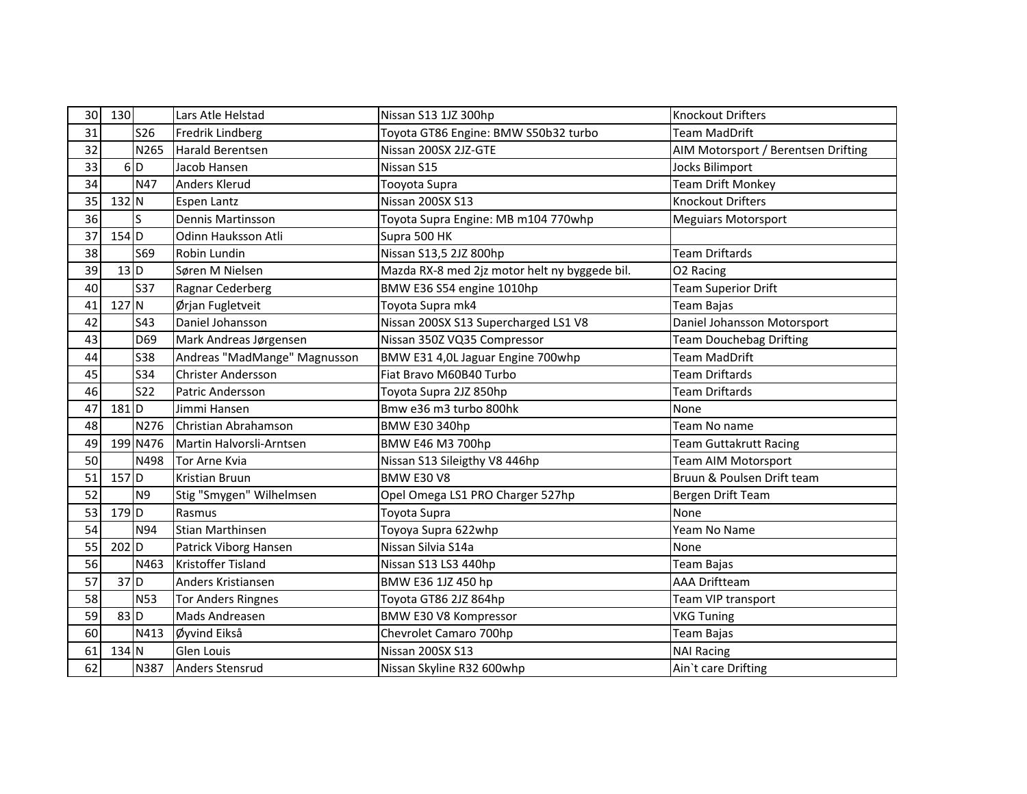| 30 | 130               |                 | Lars Atle Helstad            | Nissan S13 1JZ 300hp                          | <b>Knockout Drifters</b>            |
|----|-------------------|-----------------|------------------------------|-----------------------------------------------|-------------------------------------|
| 31 |                   | S <sub>26</sub> | Fredrik Lindberg             | Toyota GT86 Engine: BMW S50b32 turbo          | <b>Team MadDrift</b>                |
| 32 |                   | N265            | <b>Harald Berentsen</b>      | Nissan 200SX 2JZ-GTE                          | AIM Motorsport / Berentsen Drifting |
| 33 |                   | $6$ D           | Jacob Hansen                 | Nissan S15                                    | Jocks Bilimport                     |
| 34 |                   | N47             | Anders Klerud                | Tooyota Supra                                 | <b>Team Drift Monkey</b>            |
| 35 | $132$ N           |                 | <b>Espen Lantz</b>           | Nissan 200SX S13                              | <b>Knockout Drifters</b>            |
| 36 |                   | S               | Dennis Martinsson            | Toyota Supra Engine: MB m104 770whp           | <b>Meguiars Motorsport</b>          |
| 37 | 154 D             |                 | Odinn Hauksson Atli          | Supra 500 HK                                  |                                     |
| 38 |                   | <b>S69</b>      | Robin Lundin                 | Nissan S13,5 2JZ 800hp                        | <b>Team Driftards</b>               |
| 39 | 13 <sub>D</sub>   |                 | Søren M Nielsen              | Mazda RX-8 med 2jz motor helt ny byggede bil. | O2 Racing                           |
| 40 |                   | <b>S37</b>      | Ragnar Cederberg             | BMW E36 S54 engine 1010hp                     | <b>Team Superior Drift</b>          |
| 41 | $127$ N           |                 | Ørjan Fugletveit             | Toyota Supra mk4                              | Team Bajas                          |
| 42 |                   | <b>S43</b>      | Daniel Johansson             | Nissan 200SX S13 Supercharged LS1 V8          | Daniel Johansson Motorsport         |
| 43 |                   | D69             | Mark Andreas Jørgensen       | Nissan 350Z VQ35 Compressor                   | <b>Team Douchebag Drifting</b>      |
| 44 |                   | <b>S38</b>      | Andreas "MadMange" Magnusson | BMW E31 4,0L Jaguar Engine 700whp             | Team MadDrift                       |
| 45 |                   | <b>S34</b>      | <b>Christer Andersson</b>    | Fiat Bravo M60B40 Turbo                       | Team Driftards                      |
| 46 |                   | <b>S22</b>      | Patric Andersson             | Toyota Supra 2JZ 850hp                        | <b>Team Driftards</b>               |
| 47 | $181$ D           |                 | Jimmi Hansen                 | Bmw e36 m3 turbo 800hk                        | None                                |
| 48 |                   | N276            | Christian Abrahamson         | <b>BMW E30 340hp</b>                          | Team No name                        |
| 49 |                   | 199 N476        | Martin Halvorsli-Arntsen     | BMW E46 M3 700hp                              | <b>Team Guttakrutt Racing</b>       |
| 50 |                   | N498            | <b>Tor Arne Kvia</b>         | Nissan S13 Sileigthy V8 446hp                 | Team AIM Motorsport                 |
| 51 | $157$ D           |                 | Kristian Bruun               | <b>BMW E30 V8</b>                             | Bruun & Poulsen Drift team          |
| 52 |                   | N <sub>9</sub>  | Stig "Smygen" Wilhelmsen     | Opel Omega LS1 PRO Charger 527hp              | Bergen Drift Team                   |
| 53 | 179 D             |                 | Rasmus                       | Toyota Supra                                  | None                                |
| 54 |                   | N94             | Stian Marthinsen             | Toyoya Supra 622whp                           | Yeam No Name                        |
| 55 | $202$ D           |                 | Patrick Viborg Hansen        | Nissan Silvia S14a                            | None                                |
| 56 |                   | N463            | <b>Kristoffer Tisland</b>    | Nissan S13 LS3 440hp                          | Team Bajas                          |
| 57 | 37D               |                 | Anders Kristiansen           | BMW E36 1JZ 450 hp                            | <b>AAA Driftteam</b>                |
| 58 |                   | <b>N53</b>      | <b>Tor Anders Ringnes</b>    | Toyota GT86 2JZ 864hp                         | Team VIP transport                  |
| 59 | $83$ <sub>D</sub> |                 | Mads Andreasen               | BMW E30 V8 Kompressor                         | <b>VKG Tuning</b>                   |
| 60 |                   | N413            | Øyvind Eikså                 | Chevrolet Camaro 700hp                        | Team Bajas                          |
| 61 | 134 N             |                 | <b>Glen Louis</b>            | Nissan 200SX S13                              | <b>NAI Racing</b>                   |
| 62 |                   |                 | N387 Anders Stensrud         | Nissan Skyline R32 600whp                     | Ain't care Drifting                 |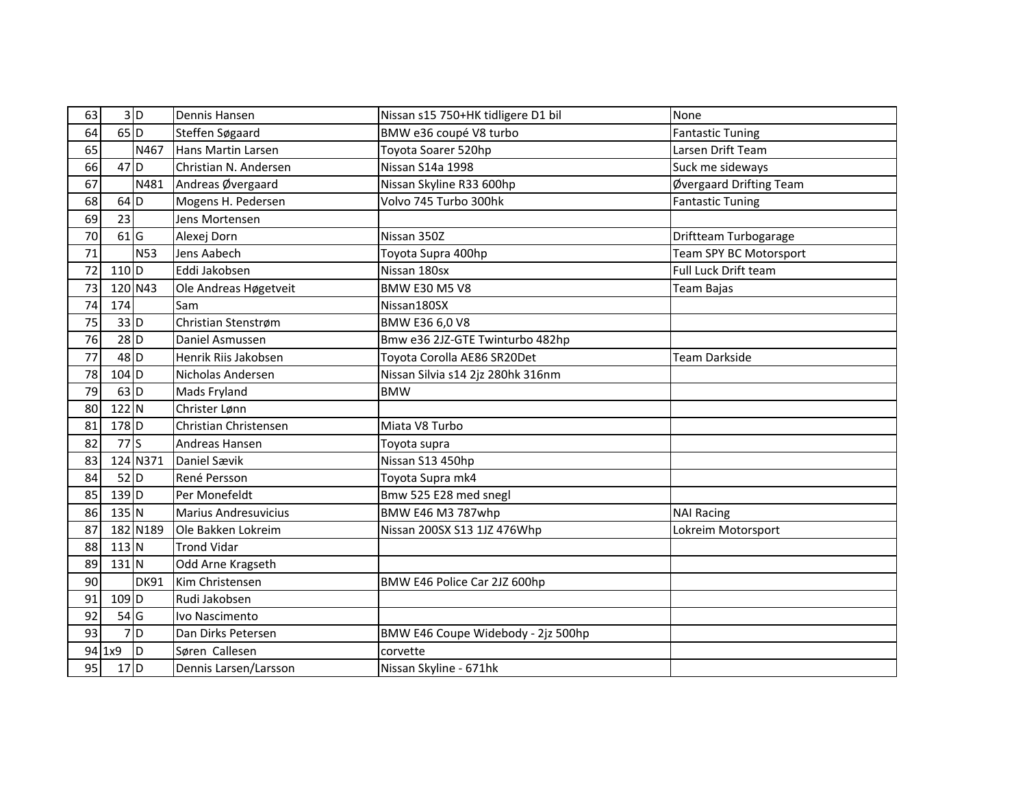| 63 |                    | 3D          | Dennis Hansen               | Nissan s15 750+HK tidligere D1 bil | None                    |
|----|--------------------|-------------|-----------------------------|------------------------------------|-------------------------|
| 64 | $65$ D             |             | Steffen Søgaard             | BMW e36 coupé V8 turbo             | <b>Fantastic Tuning</b> |
| 65 |                    | N467        | Hans Martin Larsen          | Toyota Soarer 520hp                | Larsen Drift Team       |
| 66 | $47$ D             |             | Christian N. Andersen       | Nissan S14a 1998                   | Suck me sideways        |
| 67 |                    | N481        | Andreas Øvergaard           | Nissan Skyline R33 600hp           | Øvergaard Drifting Team |
| 68 | $64$ D             |             | Mogens H. Pedersen          | Volvo 745 Turbo 300hk              | <b>Fantastic Tuning</b> |
| 69 | 23                 |             | Jens Mortensen              |                                    |                         |
| 70 | $61$ G             |             | Alexej Dorn                 | Nissan 350Z                        | Driftteam Turbogarage   |
| 71 |                    | <b>N53</b>  | Jens Aabech                 | Toyota Supra 400hp                 | Team SPY BC Motorsport  |
| 72 | $110$ D            |             | Eddi Jakobsen               | Nissan 180sx                       | Full Luck Drift team    |
| 73 |                    | 120 N43     | Ole Andreas Høgetveit       | <b>BMW E30 M5 V8</b>               | Team Bajas              |
| 74 | 174                |             | Sam                         | Nissan180SX                        |                         |
| 75 | 33D                |             | Christian Stenstrøm         | BMW E36 6,0 V8                     |                         |
| 76 | $28$ <sub>D</sub>  |             | Daniel Asmussen             | Bmw e36 2JZ-GTE Twinturbo 482hp    |                         |
| 77 | $48$ <sub>D</sub>  |             | Henrik Riis Jakobsen        | Toyota Corolla AE86 SR20Det        | Team Darkside           |
| 78 | 104 D              |             | Nicholas Andersen           | Nissan Silvia s14 2jz 280hk 316nm  |                         |
| 79 | $63$ D             |             | Mads Fryland                | <b>BMW</b>                         |                         |
| 80 | $122$ N            |             | Christer Lønn               |                                    |                         |
| 81 | 178 D              |             | Christian Christensen       | Miata V8 Turbo                     |                         |
| 82 | $77$ S             |             | Andreas Hansen              | Toyota supra                       |                         |
| 83 |                    | 124 N371    | Daniel Sævik                | Nissan S13 450hp                   |                         |
| 84 | $52$ D             |             | René Persson                | Toyota Supra mk4                   |                         |
| 85 | $139$ D            |             | Per Monefeldt               | Bmw 525 E28 med snegl              |                         |
| 86 | $135$ N            |             | <b>Marius Andresuvicius</b> | BMW E46 M3 787whp                  | <b>NAI Racing</b>       |
| 87 |                    | 182 N189    | Ole Bakken Lokreim          | Nissan 200SX S13 1JZ 476Whp        | Lokreim Motorsport      |
| 88 | $113$ N            |             | <b>Trond Vidar</b>          |                                    |                         |
| 89 | $131$ N            |             | Odd Arne Kragseth           |                                    |                         |
| 90 |                    | <b>DK91</b> | Kim Christensen             | BMW E46 Police Car 2JZ 600hp       |                         |
| 91 | $109$ <sub>D</sub> |             | Rudi Jakobsen               |                                    |                         |
| 92 | $54$ G             |             | Ivo Nascimento              |                                    |                         |
| 93 |                    | 7D          | Dan Dirks Petersen          | BMW E46 Coupe Widebody - 2jz 500hp |                         |
|    | $94$ 1x9           | ID          | Søren Callesen              | corvette                           |                         |
| 95 | $17$ <sub>D</sub>  |             | Dennis Larsen/Larsson       | Nissan Skyline - 671hk             |                         |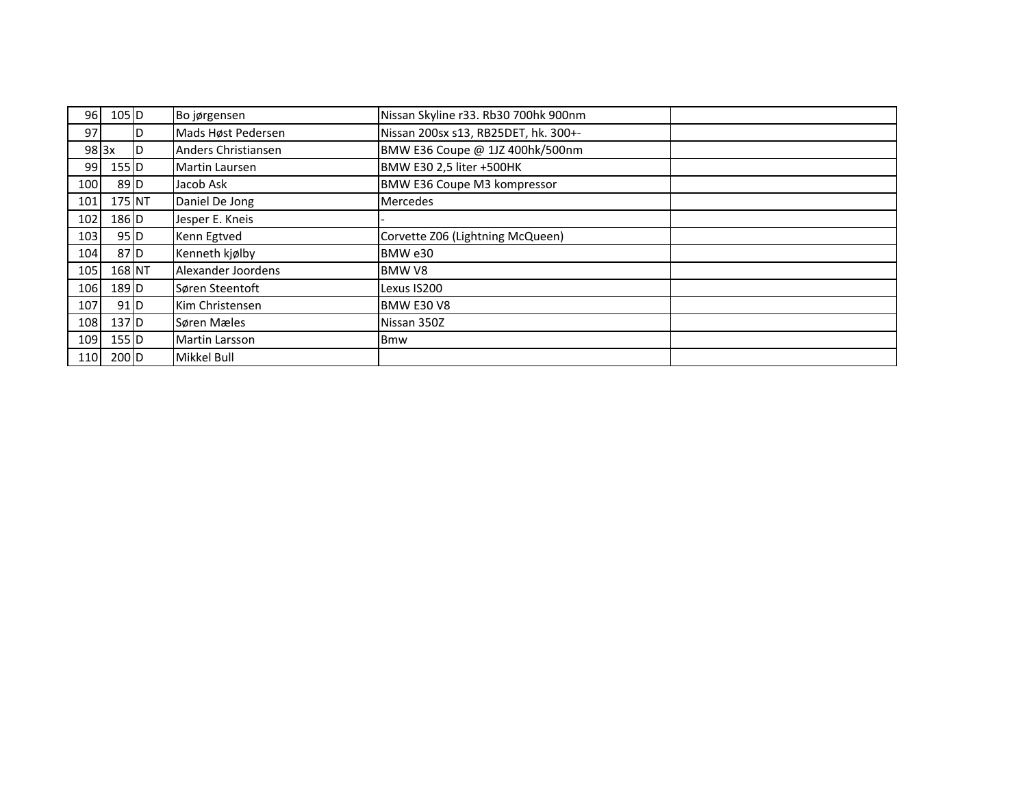| 96I                | $105$ <sub>D</sub> |    | Bo jørgensen        | Nissan Skyline r33. Rb30 700hk 900nm |  |
|--------------------|--------------------|----|---------------------|--------------------------------------|--|
| 97I                |                    | D  | Mads Høst Pedersen  | Nissan 200sx s13, RB25DET, hk. 300+- |  |
| $98$ <sub>3x</sub> |                    | ID | Anders Christiansen | BMW E36 Coupe @ 1JZ 400hk/500nm      |  |
| 99I                | $155$ D            |    | Martin Laursen      | BMW E30 2,5 liter +500HK             |  |
| 100                | $89$ <sub>D</sub>  |    | Jacob Ask           | BMW E36 Coupe M3 kompressor          |  |
| 101                | 175 NT             |    | Daniel De Jong      | <b>Mercedes</b>                      |  |
| 102                | 186 D              |    | Jesper E. Kneis     |                                      |  |
| 103                | $95$ D             |    | Kenn Egtved         | Corvette Z06 (Lightning McQueen)     |  |
| 104                | $87$ D             |    | Kenneth kjølby      | BMW e30                              |  |
| 105                | 168 NT             |    | Alexander Joordens  | BMW V8                               |  |
| 106                | 189 D              |    | Søren Steentoft     | Lexus IS200                          |  |
| 107                | $91$ D             |    | Kim Christensen     | <b>BMW E30 V8</b>                    |  |
| 108                | 137 <sub>D</sub>   |    | Søren Mæles         | Nissan 350Z                          |  |
| 109                | $155$ D            |    | Martin Larsson      | <b>Bmw</b>                           |  |
| 110                | $200$ D            |    | <b>Mikkel Bull</b>  |                                      |  |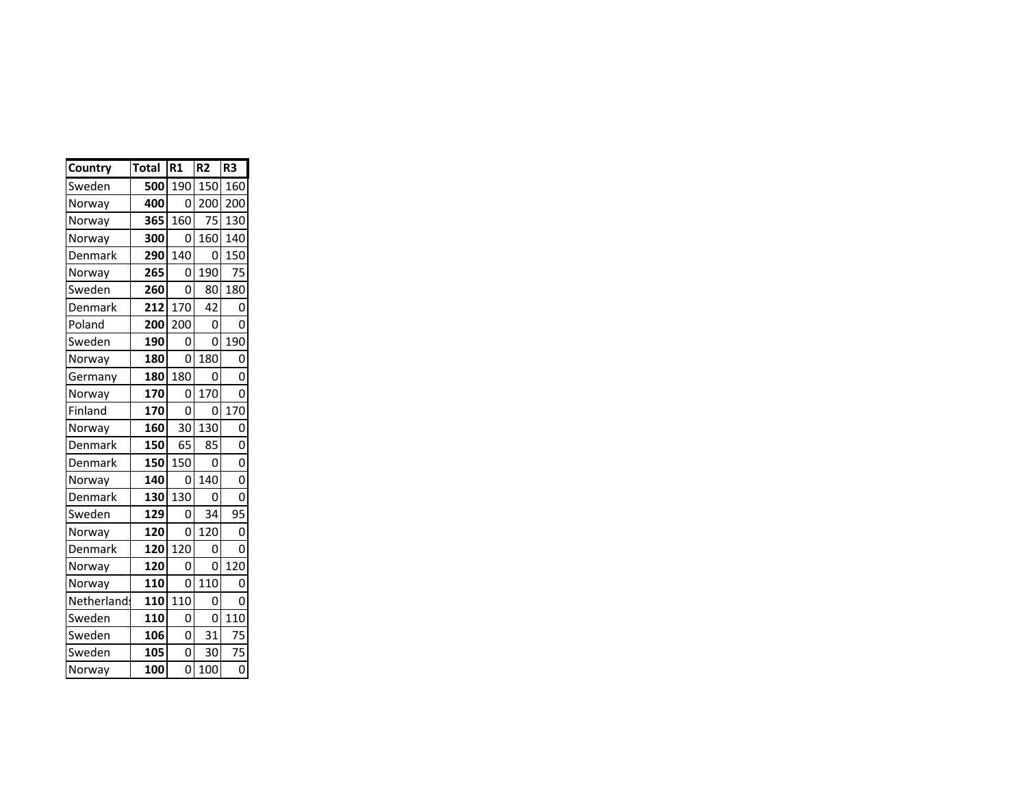| Country     | <b>Total</b> | R1             | R <sub>2</sub> | R <sub>3</sub> |
|-------------|--------------|----------------|----------------|----------------|
| Sweden      | 500          | 190            | 150            | 160            |
| Norway      | 400          | 0              | 200            | 200            |
| Norway      | 365          | 160            | 75             | 130            |
| Norway      | 300          | 0              | 160            | 140            |
| Denmark     | 290          | 140            | 0              | 150            |
| Norway      | 265          | 0              | 190            | 75             |
| Sweden      | 260          | 0              | 80             | 180            |
| Denmark     | 212          | 170            | 42             | 0              |
| Poland      | 200          | 200            | 0              | 0              |
| Sweden      | 190          | 0              | 0              | 190            |
| Norway      | 180          | 0              | 180            | O              |
| Germany     | 180          | 180            | 0              | 0              |
| Norway      | 170          | 0              | 170            | O              |
| Finland     | 170          | 0              | 0              | 170            |
| Norway      | 160          | 30             | 130            | 0              |
| Denmark     | 150          | 65             | 85             | 0              |
| Denmark     | 150          | 150            | 0              | 0              |
| Norway      | 140          | 0              | 140            | 0              |
| Denmark     | 130          | 130            | 0              | 0              |
| Sweden      | 129          | 0              | 34             | 95             |
| Norway      | 120          | 0              | 120            | 0              |
| Denmark     | 120          | 120            | 0              | 0              |
| Norway      | 120          | 0              | 0              | 120            |
| Norway      | 110          | 0              | 110            | 0              |
| Netherland: | 110          | 110            | 0              | O              |
| Sweden      | 110          | 0              | 0              | 110            |
| Sweden      | 106          | O              | 31             | 75             |
| Sweden      | 105          | 0              | 30             | 75             |
| Norway      | 100          | $\overline{0}$ | 100            | $\overline{0}$ |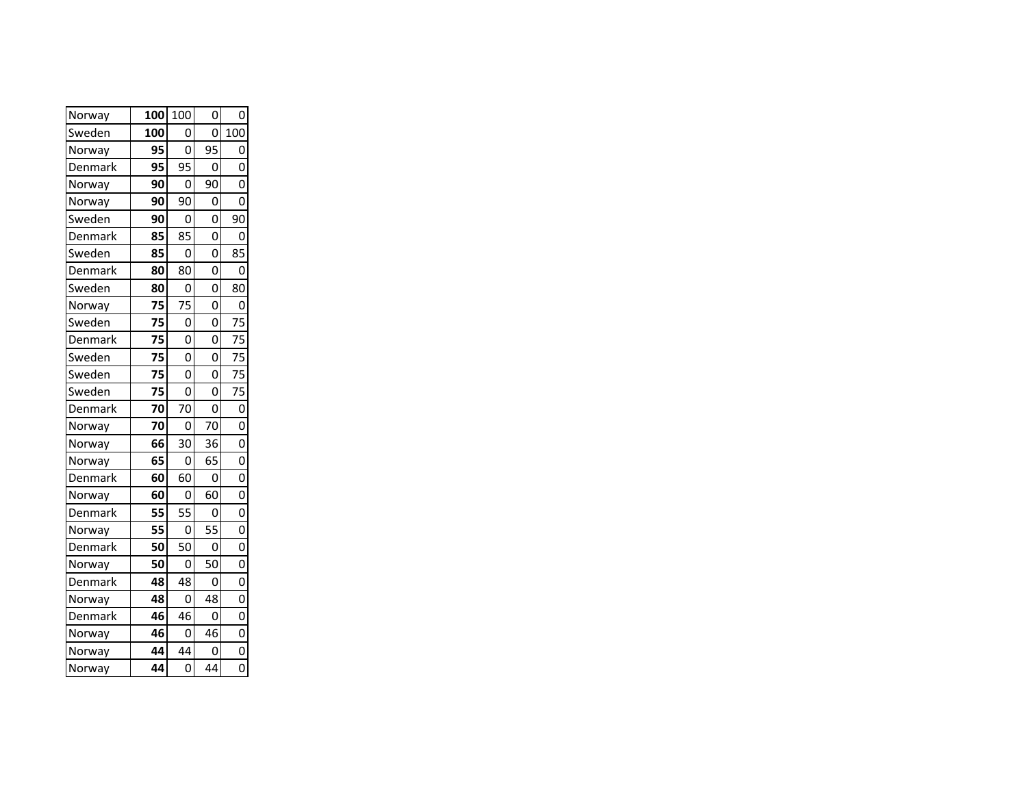| Norway  | 100 | 100 | 0  | 0              |
|---------|-----|-----|----|----------------|
| Sweden  | 100 | 0   | 0  | 100            |
| Norway  | 95  | 0   | 95 | O              |
| Denmark | 95  | 95  | 0  | 0              |
| Norway  | 90  | 0   | 90 | O              |
| Norway  | 90  | 90  | 0  | 0              |
| Sweden  | 90  | O   | O  | 90             |
| Denmark | 85  | 85  | 0  | 0              |
| Sweden  | 85  | 0   | 0  | 85             |
| Denmark | 80  | 80  | 0  | 0              |
| Sweden  | 80  | 0   | 0  | 80             |
| Norway  | 75  | 75  | O  | 0              |
| Sweden  | 75  | 0   | 0  | 75             |
| Denmark | 75  | O   | 0  | 75             |
| Sweden  | 75  | 0   | 0  | 75             |
| Sweden  | 75  | 0   | 0  | 75             |
| Sweden  | 75  | 0   | 0  | 75             |
| Denmark | 70  | 70  | 0  | $\overline{0}$ |
| Norway  | 70  | 0   | 70 | 0              |
| Norway  | 66  | 30  | 36 | $\overline{0}$ |
| Norway  | 65  | 0   | 65 | $\mathbf 0$    |
| Denmark | 60  | 60  | 0  | 0              |
| Norway  | 60  | 0   | 60 | 0              |
| Denmark | 55  | 55  | 0  | $\overline{0}$ |
| Norway  | 55  | 0   | 55 | O              |
| Denmark | 50  | 50  | 0  | 0              |
| Norway  | 50  | 0   | 50 | $\overline{0}$ |
| Denmark | 48  | 48  | 0  | 0              |
| Norway  | 48  | 0   | 48 | O              |
| Denmark | 46  | 46  | 0  | 0              |
| Norway  | 46  | 0   | 46 | $\mathbf 0$    |
| Norway  | 44  | 44  | 0  | $\overline{0}$ |
| Norway  | 44  | 0   | 44 | $\overline{0}$ |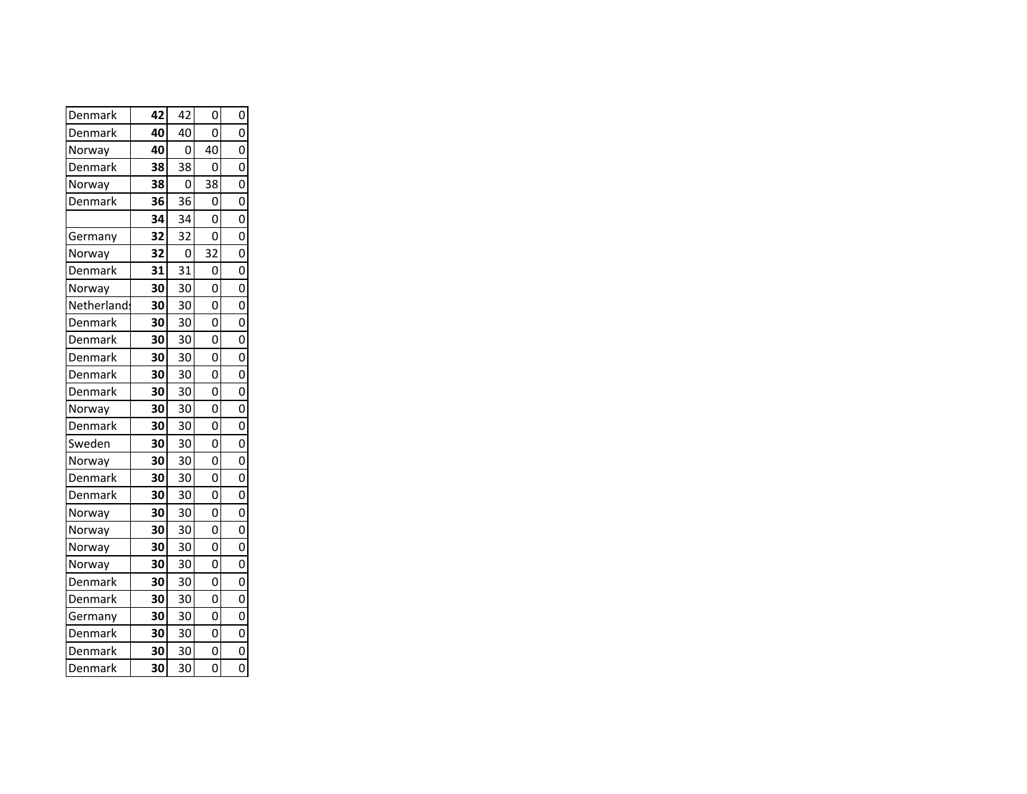| Denmark     | 42 | 42 | 0  | 0              |
|-------------|----|----|----|----------------|
| Denmark     | 40 | 40 | ი  | 0              |
| Norway      | 40 | 0  | 40 | 0              |
| Denmark     | 38 | 38 | ი  | 0              |
| Norway      | 38 | 0  | 38 | O              |
| Denmark     | 36 | 36 | 0  | O              |
|             | 34 | 34 | 0  | 0              |
| Germany     | 32 | 32 | 0  | Ó              |
| Norway      | 32 | 0  | 32 | O              |
| Denmark     | 31 | 31 | 0  | Ó              |
| Norway      | 30 | 30 | 0  | 0              |
| Netherland: | 30 | 30 | 0  | $\overline{0}$ |
| Denmark     | 30 | 30 | 0  | 0              |
| Denmark     | 30 | 30 | Ó  | $\overline{0}$ |
| Denmark     | 30 | 30 | 0  | 0              |
| Denmark     | 30 | 30 | 0  | $\overline{0}$ |
| Denmark     | 30 | 30 | 0  | 0              |
| Norway      | 30 | 30 | 0  | $\overline{0}$ |
| Denmark     | 30 | 30 | 0  | 0              |
| Sweden      | 30 | 30 | 0  | $\overline{0}$ |
| Norway      | 30 | 30 | 0  | 0              |
| Denmark     | 30 | 30 | 0  | $\overline{0}$ |
| Denmark     | 30 | 30 | 0  | 0              |
| Norway      | 30 | 30 | 0  | $\overline{0}$ |
| Norway      | 30 | 30 | 0  | O              |
| Norway      | 30 | 30 | 0  | $\overline{0}$ |
| Norway      | 30 | 30 | 0  | O              |
| Denmark     | 30 | 30 | 0  | Ó              |
| Denmark     | 30 | 30 | 0  | O              |
| Germany     | 30 | 30 | 0  | $\Omega$       |
| Denmark     | 30 | 30 | 0  | O              |
| Denmark     | 30 | 30 | 0  | 0              |
| Denmark     | 30 | 30 | O  |                |